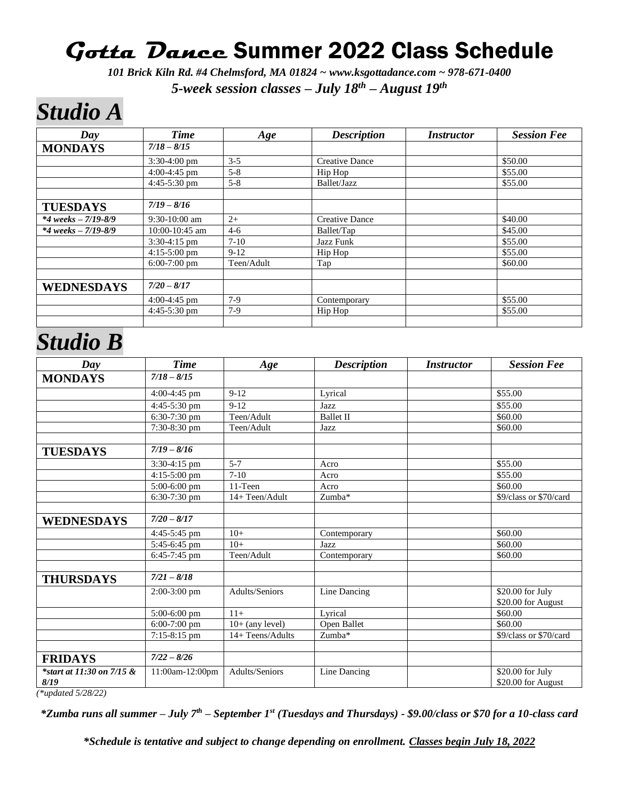### **Gotta Dance** Summer 2022 Class Schedule

*101 Brick Kiln Rd. #4 Chelmsford, MA 01824 ~ www.ksgottadance.com ~ 978-671-0400 5-week session classes – July 18 th – August 19th*

## *Studio A*

| Day                             | <b>Time</b>     | Age        | <b>Description</b>    | <i>Instructor</i> | <b>Session Fee</b> |
|---------------------------------|-----------------|------------|-----------------------|-------------------|--------------------|
| <b>MONDAYS</b>                  | $7/18 - 8/15$   |            |                       |                   |                    |
|                                 | $3:30-4:00$ pm  | $3 - 5$    | <b>Creative Dance</b> |                   | \$50.00            |
|                                 | $4:00-4:45$ pm  | $5 - 8$    | Hip Hop               |                   | \$55.00            |
|                                 | $4:45-5:30$ pm  | $5 - 8$    | Ballet/Jazz           |                   | \$55.00            |
|                                 |                 |            |                       |                   |                    |
| <b>TUESDAYS</b>                 | $7/19 - 8/16$   |            |                       |                   |                    |
| $*4 \text{ weeks} - 7/19 - 8/9$ | $9:30-10:00$ am | $2+$       | <b>Creative Dance</b> |                   | \$40.00            |
| $*4 \text{ weeks} - 7/19 - 8/9$ | 10:00-10:45 am  | $4-6$      | Ballet/Tap            |                   | \$45.00            |
|                                 | $3:30-4:15$ pm  | $7-10$     | Jazz Funk             |                   | \$55.00            |
|                                 | $4:15-5:00$ pm  | $9-12$     | Hip Hop               |                   | \$55.00            |
|                                 | $6:00-7:00$ pm  | Teen/Adult | Tap                   |                   | \$60.00            |
|                                 |                 |            |                       |                   |                    |
| <b>WEDNESDAYS</b>               | $7/20 - 8/17$   |            |                       |                   |                    |
|                                 | $4:00-4:45$ pm  | $7-9$      | Contemporary          |                   | \$55.00            |
|                                 | $4:45-5:30$ pm  | $7-9$      | Hip Hop               |                   | \$55.00            |
|                                 |                 |            |                       |                   |                    |

### *Studio B*

| Day                                  | <b>Time</b>          | Age               | <b>Description</b>  | <i>Instructor</i> | <b>Session Fee</b>                     |
|--------------------------------------|----------------------|-------------------|---------------------|-------------------|----------------------------------------|
| <b>MONDAYS</b>                       | $\sqrt{7/18} - 8/15$ |                   |                     |                   |                                        |
|                                      | $4:00-4:45$ pm       | $9 - 12$          | Lyrical             |                   | \$55.00                                |
|                                      | 4:45-5:30 pm         | $9 - 12$          | Jazz                |                   | \$55.00                                |
|                                      | 6:30-7:30 pm         | Teen/Adult        | <b>Ballet II</b>    |                   | \$60.00                                |
|                                      | 7:30-8:30 pm         | Teen/Adult        | Jazz                |                   | \$60.00                                |
|                                      |                      |                   |                     |                   |                                        |
| <b>TUESDAYS</b>                      | $7/19 - 8/16$        |                   |                     |                   |                                        |
|                                      | 3:30-4:15 pm         | $5 - 7$           | Acro                |                   | \$55.00                                |
|                                      | 4:15-5:00 pm         | $7-10$            | $\mbox{{\sc Acro}}$ |                   | \$55.00                                |
|                                      | 5:00-6:00 pm         | 11-Teen           | Acro                |                   | \$60.00                                |
|                                      | 6:30-7:30 pm         | 14+ Teen/Adult    | Zumba*              |                   | \$9/class or \$70/card                 |
|                                      |                      |                   |                     |                   |                                        |
| <b>WEDNESDAYS</b>                    | $7/20 - 8/17$        |                   |                     |                   |                                        |
|                                      | 4:45-5:45 pm         | $10+$             | Contemporary        |                   | \$60.00                                |
|                                      | 5:45-6:45 pm         | $10+$             | Jazz                |                   | \$60.00                                |
|                                      | 6:45-7:45 pm         | Teen/Adult        | Contemporary        |                   | \$60.00                                |
|                                      |                      |                   |                     |                   |                                        |
| <b>THURSDAYS</b>                     | $7/21 - 8/18$        |                   |                     |                   |                                        |
|                                      | $2:00-3:00$ pm       | Adults/Seniors    | Line Dancing        |                   | \$20.00 for July                       |
|                                      |                      |                   |                     |                   | \$20.00 for August                     |
|                                      | 5:00-6:00 pm         | $11+$             | Lyrical             |                   | \$60.00                                |
|                                      | $6:00-7:00$ pm       | $10+$ (any level) | Open Ballet         |                   | \$60.00                                |
|                                      | 7:15-8:15 pm         | 14+ Teens/Adults  | Zumba*              |                   | \$9/class or \$70/card                 |
|                                      |                      |                   |                     |                   |                                        |
| <b>FRIDAYS</b>                       | $7/22 - 8/26$        |                   |                     |                   |                                        |
| $*$ start at 11:30 on 7/15 &<br>8/19 | 11:00am-12:00pm      | Adults/Seniors    | Line Dancing        |                   | \$20.00 for July<br>\$20.00 for August |

*(\*updated 5/28/22)*

*\*Zumba runs all summer – July 7 th – September 1st (Tuesdays and Thursdays) - \$9.00/class or \$70 for a 10-class card*

*\*Schedule is tentative and subject to change depending on enrollment. Classes begin July 18, 2022*